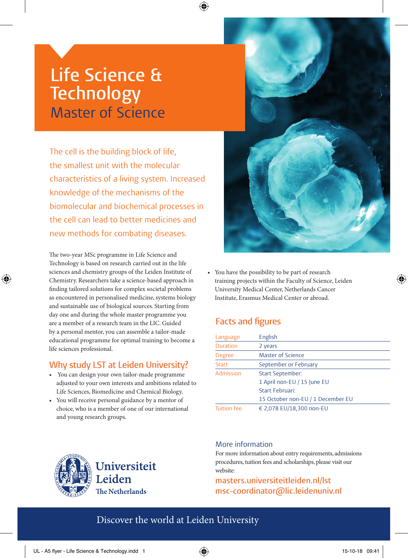# **Life Science & Technology** Master of Science

The cell is the building block of life, the smallest unit with the molecular characteristics of a living system. Increased knowledge of the mechanisms of the biomolecular and biochemical processes in the cell can lead to better medicines and new methods for combating diseases.

The two-year MSc programme in Life Science and Technology is based on research carried out in the life sciences and chemistry groups of the Leiden Institute of Chemistry. Researchers take a science-based approach in finding tailored solutions for complex societal problems as encountered in personalised medicine, systems biology and sustainable use of biological sources. Starting from day one and during the whole master programme you are a member of a research team in the LIC. Guided by a personal mentor, you can assemble a tailor-made educational programme for optimal training to become a life sciences professional.

⊕

## **Why study LST at Leiden University?**

- You can design your own tailor-made programme adjusted to your own interests and ambitions related to Life Sciences, Biomedicine and Chemical Biology.
- You will receive personal guidance by a mentor of choice, who is a member of one of our international and young research groups.

Universiteit Leiden The Netherlands



• You have the possibility to be part of research training projects within the Faculty of Science, Leiden University Medical Center, Netherlands Cancer Institute, Erasmus Medical Center or abroad.

# **Facts and figures**

| Language           | English                           |
|--------------------|-----------------------------------|
| <b>Duration</b>    | 2 years                           |
| <b>Degree</b>      | <b>Master of Science</b>          |
| <b>Start</b>       | September or February             |
| Admission          | <b>Start September:</b>           |
|                    | 1 April non-EU / 15 June EU       |
|                    | <b>Start Februari:</b>            |
|                    | 15 October non-EU / 1 December EU |
| <b>Tuition fee</b> | € 2,078 EU/18,300 non-EU          |

#### More information

For more information about entry requirements, admissions procedures, tuition fees and scholarships, please visit our website:

**masters.universiteitleiden.nl/lst msc-coordinator@lic.leidenuniv.nl**

# Discover the world at Leiden University

◈